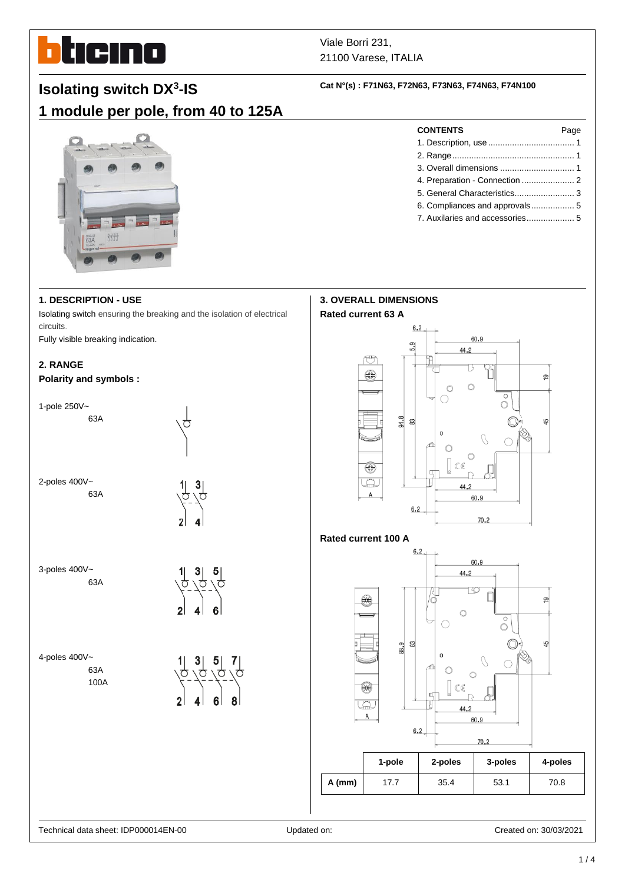# ticino П

# Viale Borri 231, 21100 Varese, ITALIA

# **Isolating switch DX<sup>3</sup> -IS**

# **1 module per pole, from 40 to 125A**

# **Cat N°(s) : F71N63, F72N63, F73N63, F74N63, F74N100**



# **1. DESCRIPTION - USE**

Isolating switch ensuring the breaking and the isolation of electrical circuits.

Fully visible breaking indication.

# **2. RANGE**

#### **Polarity and symbols :**



| <b>CONTENTS</b>                | Page |
|--------------------------------|------|
|                                |      |
|                                |      |
|                                |      |
|                                |      |
|                                |      |
| 6. Compliances and approvals 5 |      |

7. Auxilaries and accessories.................... 5

ഇ

कै



### **Rated current 100 A**



|          | 1-pole | 2-poles | 3-poles | 4-poles |
|----------|--------|---------|---------|---------|
| $A$ (mm) | 17.7   | 35.4    | 53.1    | 70.8    |

#### Technical data sheet: IDP000014EN-00 Updated on: Created on: 30/03/2021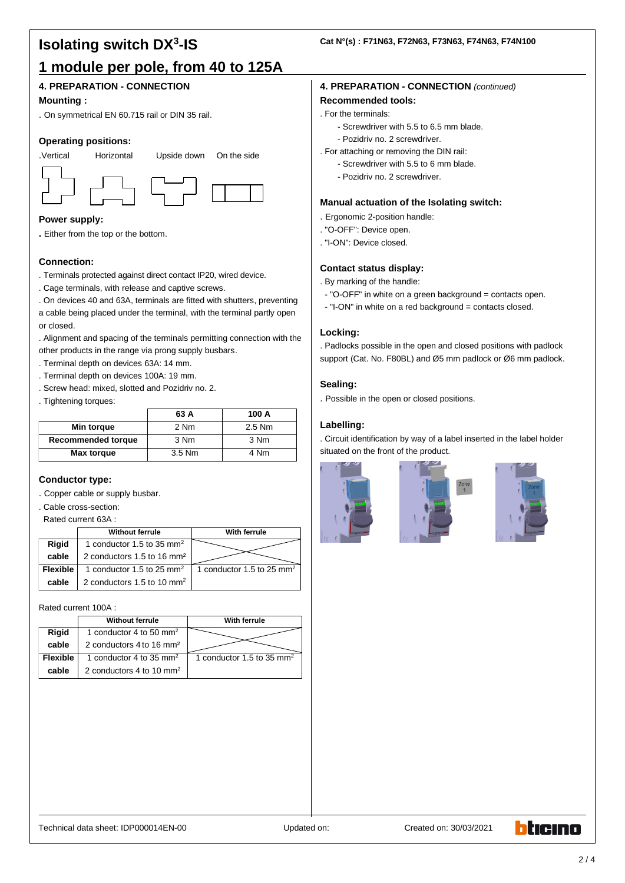# **Isolating switch DX<sup>3</sup> -IS 1 module per pole, from 40 to 125A**

# **4. PREPARATION - CONNECTION**

#### **Mounting :**

. On symmetrical EN 60.715 rail or DIN 35 rail.

#### **Operating positions:**



#### **Power supply:**

**.** Either from the top or the bottom.

#### **Connection:**

- . Terminals protected against direct contact IP20, wired device.
- . Cage terminals, with release and captive screws.
- . On devices 40 and 63A, terminals are fitted with shutters, preventing

a cable being placed under the terminal, with the terminal partly open or closed.

. Alignment and spacing of the terminals permitting connection with the other products in the range via prong supply busbars.

- . Terminal depth on devices 63A: 14 mm.
- . Terminal depth on devices 100A: 19 mm.
- . Screw head: mixed, slotted and Pozidriv no. 2.

. Tightening torques:

|                           | 63 A   | 100 A    |
|---------------------------|--------|----------|
| Min torque                | 2 Nm   | $2.5$ Nm |
| <b>Recommended torque</b> | 3 Nm   | 3 Nm     |
| <b>Max torque</b>         | 3.5 Nm | 4 Nm     |

#### **Conductor type:**

. Copper cable or supply busbar.

. Cable cross-section:

Rated current 63A :

|                 | <b>Without ferrule</b>                 | With ferrule                |  |
|-----------------|----------------------------------------|-----------------------------|--|
| <b>Rigid</b>    | 1 conductor 1.5 to 35 mm <sup>2</sup>  |                             |  |
| cable           | 2 conductors 1.5 to 16 mm <sup>2</sup> |                             |  |
| <b>Flexible</b> | 1 conductor 1.5 to 25 mm <sup>2</sup>  | 1 conductor 1.5 to 25 $mm2$ |  |
| cable           | 2 conductors 1.5 to 10 $mm2$           |                             |  |

Rated current 100A :

|                 | <b>Without ferrule</b>               | With ferrule                |  |
|-----------------|--------------------------------------|-----------------------------|--|
| Rigid           | 1 conductor 4 to 50 mm <sup>2</sup>  |                             |  |
| cable           | 2 conductors 4 to 16 mm <sup>2</sup> |                             |  |
| <b>Flexible</b> | 1 conductor 4 to 35 mm <sup>2</sup>  | 1 conductor 1.5 to 35 $mm2$ |  |
| cable           | 2 conductors 4 to 10 mm <sup>2</sup> |                             |  |

# **4. PREPARATION - CONNECTION** *(continued)*

# **Recommended tools:**

- . For the terminals:
	- Screwdriver with 5.5 to 6.5 mm blade.
	- Pozidriv no. 2 screwdriver.
- . For attaching or removing the DIN rail:
	- Screwdriver with 5.5 to 6 mm blade.
	- Pozidriv no. 2 screwdriver.

#### **Manual actuation of the Isolating switch:**

- . Ergonomic 2-position handle:
- . "O-OFF": Device open.
- . "I-ON": Device closed.

#### **Contact status display:**

- . By marking of the handle:
- "O-OFF" in white on a green background = contacts open.
- "I-ON" in white on a red background = contacts closed.

#### **Locking:**

. Padlocks possible in the open and closed positions with padlock support (Cat. No. F80BL) and Ø5 mm padlock or Ø6 mm padlock.

#### **Sealing:**

. Possible in the open or closed positions.

#### **Labelling:**

. Circuit identification by way of a label inserted in the label holder situated on the front of the product.







Technical data sheet: IDP000014EN-00 Updated on: Created on: 30/03/2021

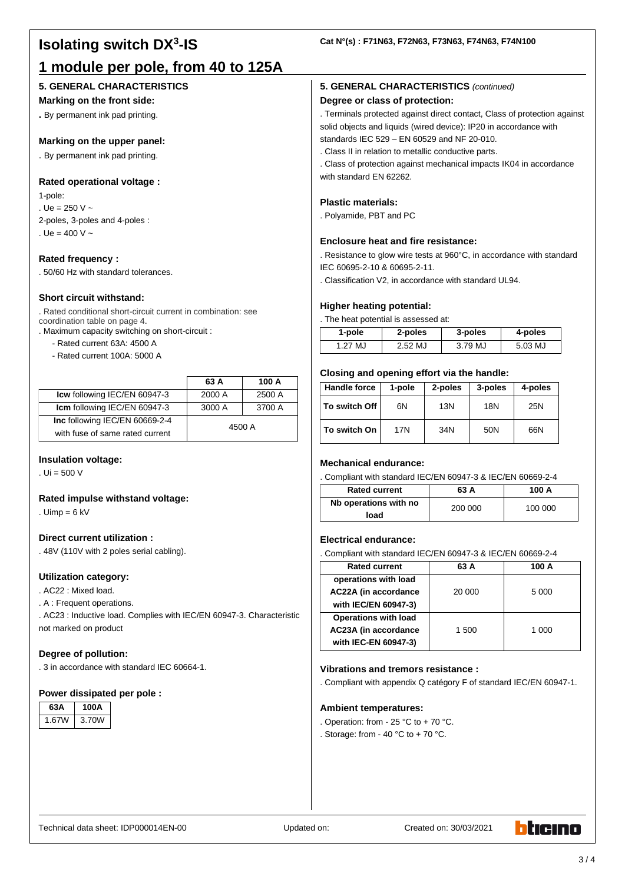# **Isolating switch DX<sup>3</sup> -IS 1 module per pole, from 40 to 125A**

### **5. GENERAL CHARACTERISTICS**

#### **Marking on the front side:**

**.** By permanent ink pad printing.

#### **Marking on the upper panel:**

. By permanent ink pad printing.

#### **Rated operational voltage :**

1-pole: . Ue = 250 V  $\sim$ 2-poles, 3-poles and 4-poles : . Ue =  $400 V -$ 

#### **Rated frequency :**

. 50/60 Hz with standard tolerances.

#### **Short circuit withstand:**

. Rated conditional short-circuit current in combination: see coordination table on page 4.

. Maximum capacity switching on short-circuit :

- Rated current 63A: 4500 A
- Rated current 100A: 5000 A

|                                 | 63 A   | 100 A  |
|---------------------------------|--------|--------|
| Icw following IEC/EN 60947-3    | 2000 A | 2500 A |
| Icm following IEC/EN 60947-3    | 3000 A | 3700 A |
| Inc following IEC/EN 60669-2-4  | 4500 A |        |
| with fuse of same rated current |        |        |

#### **Insulation voltage:**

. Ui = 500 V

#### **Rated impulse withstand voltage:**

. Uimp =  $6$  kV

#### **Direct current utilization :**

. 48V (110V with 2 poles serial cabling).

#### **Utilization category:**

. AC22 : Mixed load.

. A : Frequent operations.

. AC23 : Inductive load. Complies with IEC/EN 60947-3. Characteristic not marked on product

#### **Degree of pollution:**

. 3 in accordance with standard IEC 60664-1.

#### **Power dissipated per pole :**

| 63А  | 100A  |
|------|-------|
| .67W | 3.70W |

#### **Cat N°(s) : F71N63, F72N63, F73N63, F74N63, F74N100**

#### **5. GENERAL CHARACTERISTICS** *(continued)*

#### **Degree or class of protection:**

. Terminals protected against direct contact, Class of protection against solid objects and liquids (wired device): IP20 in accordance with standards IEC 529 – EN 60529 and NF 20-010.

. Class II in relation to metallic conductive parts.

. Class of protection against mechanical impacts IK04 in accordance with standard EN 62262.

#### **Plastic materials:**

. Polyamide, PBT and PC

#### **Enclosure heat and fire resistance:**

. Resistance to glow wire tests at 960°C, in accordance with standard IEC 60695-2-10 & 60695-2-11.

. Classification V2, in accordance with standard UL94.

#### **Higher heating potential:**

. The heat potential is assessed at:

| 1-pole  | 2-poles           | 3-poles | 4-poles |
|---------|-------------------|---------|---------|
| 1.27 MJ | $2.52 \mathrm{M}$ | 3.79 MJ | 5.03 MJ |

#### **Closing and opening effort via the handle:**

| <b>Handle force</b> | 1-pole | 2-poles | 3-poles | 4-poles |
|---------------------|--------|---------|---------|---------|
| To switch Off       | 6N     | 13N     | 18N     | 25N     |
| To switch On        | 17N    | 34N     | 50N     | 66N     |

#### **Mechanical endurance:**

. Compliant with standard IEC/EN 60947-3 & IEC/EN 60669-2-4

| <b>Rated current</b>  | 63 A    | 100 A   |
|-----------------------|---------|---------|
| Nb operations with no | 200 000 | 100 000 |
| load                  |         |         |

### **Electrical endurance:**

. Compliant with standard IEC/EN 60947-3 & IEC/EN 60669-2-4

| <b>Rated current</b>        | 63 A   | 100 A   |
|-----------------------------|--------|---------|
| operations with load        |        |         |
| AC22A (in accordance        | 20 000 | 5 0 0 0 |
| with IEC/EN 60947-3)        |        |         |
| <b>Operations with load</b> |        |         |
| AC23A (in accordance        | 1 500  | 1 000   |
| with IEC-EN 60947-3)        |        |         |

#### **Vibrations and tremors resistance :**

. Compliant with appendix Q catégory F of standard IEC/EN 60947-1.

#### **Ambient temperatures:**

- . Operation: from 25 °C to + 70 °C.
- . Storage: from 40 °C to + 70 °C.